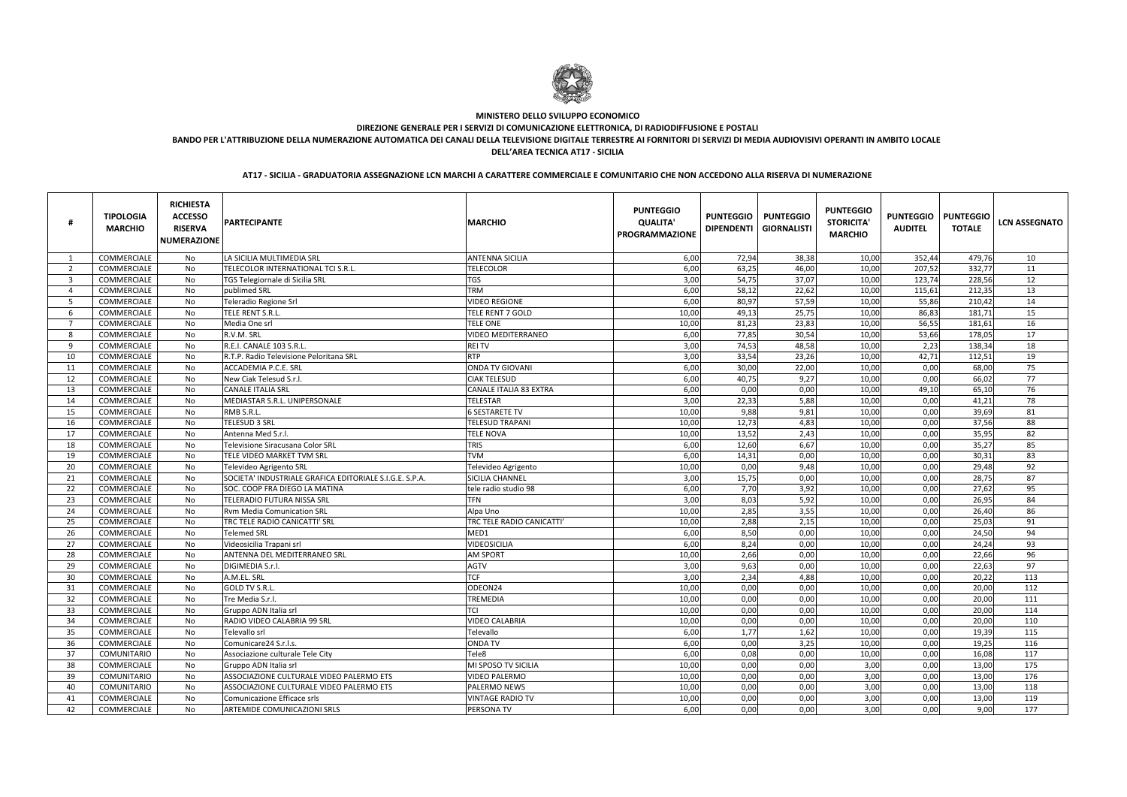|                | <b>TIPOLOGIA</b><br><b>MARCHIO</b> | <b>RICHIESTA</b><br><b>ACCESSO</b><br><b>RISERVA</b><br><b>NUMERAZIONE</b> | <b>PARTECIPANTE</b>                                     | <b>MARCHIO</b>                | <b>PUNTEGGIO</b><br><b>QUALITA'</b><br><b>PROGRAMMAZIONE</b> | <b>PUNTEGGIO</b><br><b>DIPENDENTI</b> | <b>PUNTEGGIO</b><br><b>GIORNALISTI</b> | <b>PUNTEGGIO</b><br><b>STORICITA</b><br><b>MARCHIO</b> | <b>PUNTEGGIO</b><br><b>AUDITEL</b> | <b>PUNTEGGIO</b><br><b>TOTALE</b> | <b>LCN ASSEGNATO</b> |
|----------------|------------------------------------|----------------------------------------------------------------------------|---------------------------------------------------------|-------------------------------|--------------------------------------------------------------|---------------------------------------|----------------------------------------|--------------------------------------------------------|------------------------------------|-----------------------------------|----------------------|
|                | COMMERCIALE                        | No                                                                         | LA SICILIA MULTIMEDIA SRL                               | <b>ANTENNA SICILIA</b>        | 6,00                                                         | 72,94                                 | 38,38                                  | 10,00                                                  | 352,44                             | 479,76                            | 10                   |
| $\overline{2}$ | COMMERCIALE                        | No                                                                         | TELECOLOR INTERNATIONAL TCI S.R.L.                      | <b>TELECOLOR</b>              | 6,00                                                         | 63,25                                 | 46,00                                  | 10,00                                                  | 207,52                             | 332,77                            | 11                   |
| 3              | COMMERCIALE                        | No                                                                         | TGS Telegiornale di Sicilia SRL                         | <b>TGS</b>                    | 3,00                                                         | 54,75                                 | 37,07                                  | 10,00                                                  | 123,74                             | 228,56                            | 12                   |
| $\Delta$       | COMMERCIALE                        | No                                                                         | publimed SRL                                            | <b>TRM</b>                    | 6,00                                                         | 58,12                                 | 22,62                                  | 10,00                                                  | 115,61                             | 212,35                            | 13                   |
| -5             | COMMERCIALE                        | No                                                                         | Teleradio Regione Srl                                   | <b>VIDEO REGIONE</b>          | 6,00                                                         | 80,97                                 | 57,59                                  | 10,00                                                  | 55,86                              | 210,42                            | 14                   |
| -6             | COMMERCIALE                        | No                                                                         | TELE RENT S.R.L.                                        | TELE RENT 7 GOLD              | 10,00                                                        | 49,13                                 | 25,75                                  | 10,00                                                  | 86,83                              | 181,71                            | 15                   |
| - 7            | COMMERCIALE                        | No                                                                         | Media One srl                                           | <b>TELE ONE</b>               | 10,00                                                        | 81,23                                 | 23,83                                  | 10,00                                                  | 56,55                              | 181,61                            | 16                   |
| -8             | COMMERCIALE                        | No                                                                         | R.V.M. SRL                                              | <b>VIDEO MEDITERRANEO</b>     | 6,00                                                         | 77,85                                 | 30,54                                  | 10,00                                                  | 53,66                              | 178,05                            | 17                   |
| <sub>q</sub>   | COMMERCIALE                        | No                                                                         | R.E.I. CANALE 103 S.R.L.                                | <b>REITV</b>                  | 3,00                                                         | 74,53                                 | 48,58                                  | 10,00                                                  | 2,23                               | 138,34                            | 18                   |
| 10             | COMMERCIALE                        | No                                                                         | R.T.P. Radio Televisione Peloritana SRL                 | <b>RTP</b>                    | 3,00                                                         | 33,54                                 | 23,26                                  | 10,00                                                  | 42,71                              | 112,51                            | 19                   |
| 11             | COMMERCIALE                        | No                                                                         | ACCADEMIA P.C.E. SRL                                    | <b>ONDA TV GIOVANI</b>        | 6,00                                                         | 30,00                                 | 22,00                                  | 10,00                                                  | 0,00                               | 68,00                             | 75                   |
| 12             | <b>COMMERCIALE</b>                 | No                                                                         | New Ciak Telesud S.r.l.                                 | <b>CIAK TELESUD</b>           | 6,00                                                         | 40,75                                 | 9,27                                   | 10,00                                                  | 0,00                               | 66,02                             | 77                   |
| 13             | COMMERCIALE                        | No                                                                         | <b>CANALE ITALIA SRL</b>                                | <b>CANALE ITALIA 83 EXTRA</b> | 6,00                                                         | 0,00                                  | 0,00                                   | 10,00                                                  | 49,10                              | 65,10                             | 76                   |
| 14             | COMMERCIALE                        | No                                                                         | MEDIASTAR S.R.L. UNIPERSONALE                           | <b>TELESTAR</b>               | 3,00                                                         | 22,33                                 | 5,88                                   | 10,00                                                  | 0,00                               | 41,21                             | 78                   |
| 15             | COMMERCIALE                        | No                                                                         | RMB S.R.L.                                              | <b>6 SESTARETE TV</b>         | 10,00                                                        | 9,88                                  | 9,81                                   | 10,00                                                  | 0,00                               | 39,69                             | 81                   |
| 16             | <b>COMMERCIALE</b>                 | No                                                                         | <b>TELESUD 3 SRL</b>                                    | <b>TELESUD TRAPANI</b>        | 10,00                                                        | 12,73                                 | 4,83                                   | 10,00                                                  | 0,00                               | 37,56                             | 88                   |
| 17             | COMMERCIALE                        | No                                                                         | Antenna Med S.r.l.                                      | <b>TELE NOVA</b>              | 10,00                                                        | 13,52                                 | 2,43                                   | 10,00                                                  | 0,00                               | 35,95                             | 82                   |
| 18             | COMMERCIALE                        | No                                                                         | Televisione Siracusana Color SRL                        | <b>TRIS</b>                   | 6,00                                                         | 12,60                                 | 6,67                                   | 10,00                                                  | 0,00                               | 35,27                             | 85                   |
| 19             | COMMERCIALE                        | No                                                                         | TELE VIDEO MARKET TVM SRL                               | <b>TVM</b>                    | 6,00                                                         | 14,31                                 | 0,00                                   | 10,00                                                  | 0,00                               | 30,31                             | 83                   |
| 20             | COMMERCIALE                        | No                                                                         | Televideo Agrigento SRL                                 | Televideo Agrigento           | 10,00                                                        | 0,00                                  | 9,48                                   | 10,00                                                  | 0,00                               | 29,48                             | 92                   |
| 21             | COMMERCIALE                        | No                                                                         | SOCIETA' INDUSTRIALE GRAFICA EDITORIALE S.I.G.E. S.P.A. | SICILIA CHANNEL               | 3,00                                                         | 15,75                                 | 0,00                                   | 10,00                                                  | 0,00                               | 28,75                             | 87                   |
| 22             | COMMERCIALE                        | No                                                                         | SOC. COOP FRA DIEGO LA MATINA                           | tele radio studio 98          | 6,00                                                         | 7,70                                  | 3,92                                   | 10,00                                                  | 0,00                               | 27,62                             | 95                   |
| 23             | COMMERCIALE                        | No                                                                         | <b>TELERADIO FUTURA NISSA SRL</b>                       | <b>TFN</b>                    | 3,00                                                         | 8,03                                  | 5,92                                   | 10,00                                                  | 0,00                               | 26,95                             | 84                   |
| 24             | COMMERCIALE                        | No                                                                         | <b>Rvm Media Comunication SRL</b>                       | Alpa Uno                      | 10,00                                                        | 2,85                                  | 3,55                                   | 10,00                                                  | 0,00                               | 26,40                             | 86                   |
| 25             | COMMERCIALE                        | No                                                                         | <b>TRC TELE RADIO CANICATTI' SRL</b>                    | TRC TELE RADIO CANICATTI'     | 10,00                                                        | 2,88                                  | 2,15                                   | 10,00                                                  | 0,00                               | 25,03                             | 91                   |
| 26             | COMMERCIALE                        | No                                                                         | <b>Telemed SRL</b>                                      | MED1                          | 6,00                                                         | 8,50                                  | 0,00                                   | 10,00                                                  | 0,00                               | 24,50                             | 94                   |
| 27             | COMMERCIALE                        | No                                                                         | Videosicilia Trapani srl                                | <b>VIDEOSICILIA</b>           | 6,00                                                         | 8,24                                  | 0,00                                   | 10,00                                                  | 0,00                               | 24,24                             | 93                   |
| 28             | COMMERCIALE                        | No                                                                         | ANTENNA DEL MEDITERRANEO SRL                            | <b>AM SPORT</b>               | 10,00                                                        | 2,66                                  | 0,00                                   | 10,00                                                  | 0,00                               | 22,66                             | 96                   |
| 29             | COMMERCIALE                        | No                                                                         | DIGIMEDIA S.r.l.                                        | AGTV                          | 3,00                                                         | 9,63                                  | 0,00                                   | 10,00                                                  | 0,00                               | 22,63                             | 97                   |
| 30             | COMMERCIALE                        | No                                                                         | A.M.EL. SRL                                             | <b>TCF</b>                    | 3,00                                                         | 2,34                                  | 4,88                                   | 10,00                                                  | 0,00                               | 20,22                             | 113                  |
| 31             | COMMERCIALE                        | No                                                                         | GOLD TV S.R.L.                                          | ODEON24                       | 10,00                                                        | 0,00                                  | 0,00                                   | 10,00                                                  | 0,00                               | 20,00                             | 112                  |
| 32             | COMMERCIALE                        | No                                                                         | Tre Media S.r.l.                                        | <b>TREMEDIA</b>               | 10,00                                                        | 0,00                                  | 0,00                                   | 10,00                                                  | 0,00                               | 20,00                             | 111                  |
| 33             | <b>COMMERCIALE</b>                 | No                                                                         | Gruppo ADN Italia srl                                   | TCI                           | 10,00                                                        | 0,00                                  | 0,00                                   | 10,00                                                  | 0,00                               | 20,00                             | 114                  |
| 34             | COMMERCIALE                        | No                                                                         | RADIO VIDEO CALABRIA 99 SRL                             | <b>VIDEO CALABRIA</b>         | 10,00                                                        | 0,00                                  | 0,00                                   | 10,00                                                  | 0,00                               | 20,00                             | 110                  |
| 35             | COMMERCIALE                        | No                                                                         | Televallo srl                                           | Televallo                     | 6,00                                                         | 1,77                                  | 1,62                                   | 10,00                                                  | 0,00                               | 19,39                             | 115                  |
| 36             | COMMERCIALE                        | No                                                                         | Comunicare24 S.r.l.s.                                   | <b>ONDA TV</b>                | 6,00                                                         | 0,00                                  | 3,25                                   | 10,00                                                  | 0,00                               | 19,25                             | 116                  |
| 37             | COMUNITARIO                        | No                                                                         | Associazione culturale Tele City                        | Tele8                         | 6,00                                                         | 0,08                                  | 0,00                                   | 10,00                                                  | 0,00                               | 16,08                             | 117                  |
| 38             | COMMERCIALE                        | No                                                                         | Gruppo ADN Italia srl                                   | MI SPOSO TV SICILIA           | 10,00                                                        | 0,00                                  | 0,00                                   | 3,00                                                   | 0,00                               | 13,00                             | 175                  |
| 39             | COMUNITARIO                        | No                                                                         | ASSOCIAZIONE CULTURALE VIDEO PALERMO ETS                | <b>VIDEO PALERMO</b>          | 10,00                                                        | 0,00                                  | 0,00                                   | 3,00                                                   | 0,00                               | 13,00                             | 176                  |
| 40             | COMUNITARIO                        | No                                                                         | ASSOCIAZIONE CULTURALE VIDEO PALERMO ETS                | PALERMO NEWS                  | 10,00                                                        | 0,00                                  | 0,00                                   | 3,00                                                   | 0,00                               | 13,00                             | 118                  |
| 41             | COMMERCIALE                        | No                                                                         | Comunicazione Efficace srls                             | <b>VINTAGE RADIO TV</b>       | 10,00                                                        | 0,00                                  | 0,00                                   | 3,00                                                   | 0,00                               | 13,00                             | 119                  |
| 42             | COMMERCIALE                        | No                                                                         | ARTEMIDE COMUNICAZIONI SRLS                             | PERSONA TV                    | 6,00                                                         | 0,00                                  | 0,00                                   | 3,00                                                   | 0,00                               | 9,00                              | 177                  |



# **MINISTERO DELLO SVILUPPO ECONOMICO**

**DIREZIONE GENERALE PER I SERVIZI DI COMUNICAZIONE ELETTRONICA, DI RADIODIFFUSIONE E POSTALI**

 **BANDO PER L'ATTRIBUZIONE DELLA NUMERAZIONE AUTOMATICA DEI CANALI DELLA TELEVISIONE DIGITALE TERRESTRE AI FORNITORI DI SERVIZI DI MEDIA AUDIOVISIVI OPERANTI IN AMBITO LOCALEDELL'AREA TECNICA AT17 - SICILIA**

**AT17 - SICILIA - GRADUATORIA ASSEGNAZIONE LCN MARCHI A CARATTERE COMMERCIALE E COMUNITARIO CHE NON ACCEDONO ALLA RISERVA DI NUMERAZIONE**